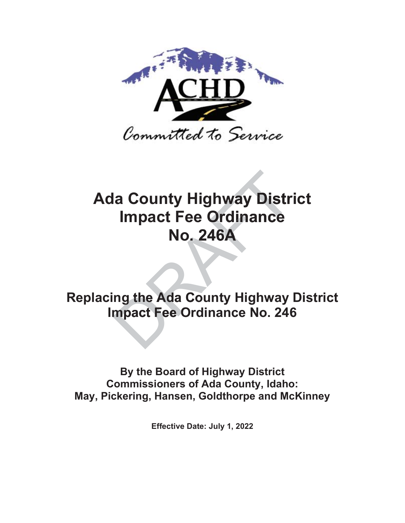

# **Ada County Highway District Impact Fee Ordinance No. 246A** la County Highway Distr<br>
Impact Fee Ordinance<br>
No. 246A<br>
ing the Ada County Highway<br>
mpact Fee Ordinance No. 246

**Replacing the Ada County Highway District Impact Fee Ordinance No. 246** 

**By the Board of Highway District Commissioners of Ada County, Idaho: May, Pickering, Hansen, Goldthorpe and McKinney**

**Effective Date: July 1, 2022**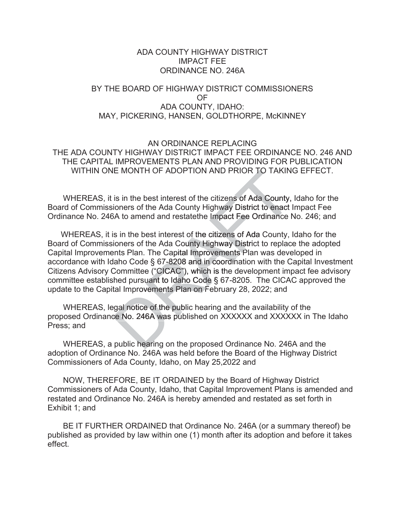# ADA COUNTY HIGHWAY DISTRICT IMPACT FEE ORDINANCE NO. 246A

# BY THE BOARD OF HIGHWAY DISTRICT COMMISSIONERS OF ADA COUNTY, IDAHO: MAY, PICKERING, HANSEN, GOLDTHORPE, McKINNEY

# AN ORDINANCE REPLACING THE ADA COUNTY HIGHWAY DISTRICT IMPACT FEE ORDINANCE NO. 246 AND THE CAPITAL IMPROVEMENTS PLAN AND PROVIDING FOR PUBLICATION WITHIN ONE MONTH OF ADOPTION AND PRIOR TO TAKING EFFECT.

WHEREAS, it is in the best interest of the citizens of Ada County, Idaho for the Board of Commissioners of the Ada County Highway District to enact Impact Fee Ordinance No. 246A to amend and restatethe Impact Fee Ordinance No. 246; and Ordinanc

WHEREAS, it is in the best interest of the citizens of Ada County, Idaho for the C Board of Commissioners of the Ada County Highway District to replace the adopted Capital Improvements Plan. The Capital Improvements Plan was developed in accordance with Idaho Code § 67-8208 and in coordination with the Capital Investment Citizens Advisory Committee ("CICAC"), which is the development impact fee advisory committee established pursuant to Idaho Code  $\S$  67-8205. The CICAC approved the update to the Capital Improvements Plan on February 28, 2022; and IE MONTH OF ADOPTION AND PRIOR TO TAKIN<br>is in the best interest of the citizens of Ada County,<br>ioners of the Ada County Highway District to enact<br>for the Ada County Highway District to enact<br>is in the best interest of the

WHEREAS, legal notice of the public hearing and the availability of the proposed Ordinance No. 246A was published on XXXXXX and XXXXXX in The Idaho Press; and

WHEREAS, a public hearing on the proposed Ordinance No. 246A and the adoption of Ordinance No. 246A was held before the Board of the Highway District Commissioners of Ada County, Idaho, on May 25,2022 and

 NOW, THEREFORE, BE IT ORDAINED by the Board of Highway District Commissioners of Ada County, Idaho, that Capital Improvement Plans is amended and restated and Ordinance No. 246A is hereby amended and restated as set forth in Exhibit 1; and

 BE IT FURTHER ORDAINED that Ordinance No. 246A (or a summary thereof) be published as provided by law within one (1) month after its adoption and before it takes effect.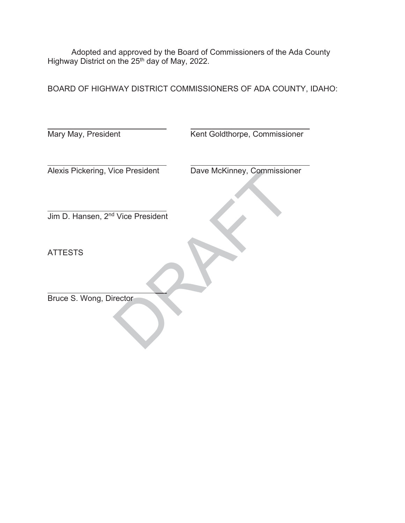Adopted and approved by the Board of Commissioners of the Ada County Highway District on the 25<sup>th</sup> day of May, 2022.

BOARD OF HIGHWAY DISTRICT COMMISSIONERS OF ADA COUNTY, IDAHO:

| Mary May, President                           | Kent Goldthorpe, Commissioner |
|-----------------------------------------------|-------------------------------|
|                                               |                               |
| Alexis Pickering, Vice President              | Dave McKinney, Commissioner   |
|                                               |                               |
| Jim D. Hansen, 2 <sup>nd</sup> Vice President |                               |
|                                               |                               |
| <b>ATTESTS</b>                                |                               |
|                                               |                               |
| Bruce S. Wong, Director                       |                               |
|                                               |                               |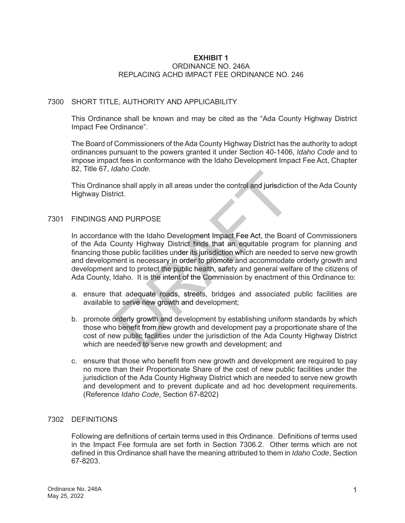#### **EXHIBIT 1** ORDINANCE NO. 246A REPLACING ACHD IMPACT FEE ORDINANCE NO. 246

## 7300 SHORT TITLE, AUTHORITY AND APPLICABILITY

This Ordinance shall be known and may be cited as the "Ada County Highway District Impact Fee Ordinance".

The Board of Commissioners of the Ada County Highway District has the authority to adopt ordinances pursuant to the powers granted it under Section 40-1406, *Idaho Code* and to impose impact fees in conformance with the Idaho Development Impact Fee Act, Chapter 82, Title 67, *Idaho Code.*

This Ordinance shall apply in all areas under the control and jurisdiction of the Ada County Highway District.

#### 7301 FINDINGS AND PURPOSE

In accordance with the Idaho Development Impact Fee Act, the Board of Commissioners of the Ada County Highway District finds that an equitable program for planning and financing those public facilities under its jurisdiction which are needed to serve new growth and development is necessary in order to promote and accommodate orderly growth and development and to protect the public health, safety and general welfare of the citizens of Ada County, Idaho. It is the intent of the Commission by enactment of this Ordinance to: The shall apply in all areas under the control and jurisdictic<br>trict.<br>ND PURPOSE<br>te with the Idaho Development Impact Fee Act, the Boar<br>County Highway District finds that an equitable programe<br>se public facilities under it

- a. ensure that adequate roads, streets, bridges and associated public facilities are available to serve new growth and development;
- b. promote orderly growth and development by establishing uniform standards by which those who benefit from new growth and development pay a proportionate share of the cost of new public facilities under the jurisdiction of the Ada County Highway District which are needed to serve new growth and development; and
- c. ensure that those who benefit from new growth and development are required to pay no more than their Proportionate Share of the cost of new public facilities under the jurisdiction of the Ada County Highway District which are needed to serve new growth and development and to prevent duplicate and ad hoc development requirements. (Reference *Idaho Code*, Section 67-8202)

#### 7302 DEFINITIONS

Following are definitions of certain terms used in this Ordinance. Definitions of terms used in the Impact Fee formula are set forth in Section 7306.2. Other terms which are not defined in this Ordinance shall have the meaning attributed to them in *Idaho Code*, Section 67-8203.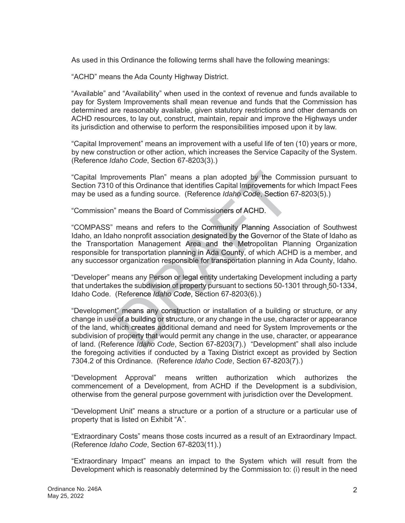As used in this Ordinance the following terms shall have the following meanings:

"ACHD" means the Ada County Highway District.

"Available" and "Availability" when used in the context of revenue and funds available to pay for System Improvements shall mean revenue and funds that the Commission has determined are reasonably available, given statutory restrictions and other demands on ACHD resources, to lay out, construct, maintain, repair and improve the Highways under its jurisdiction and otherwise to perform the responsibilities imposed upon it by law.

"Capital Improvement" means an improvement with a useful life of ten (10) years or more, by new construction or other action, which increases the Service Capacity of the System. (Reference *Idaho Code*, Section 67-8203(3).)

"Capital Improvements Plan" means a plan adopted by the Commission pursuant to Section 7310 of this Ordinance that identifies Capital Improvements for which Impact Fees may be used as a funding source. (Reference *Idaho Code*, Section 67-8203(5).)

"Commission" means the Board of Commissioners of ACHD.

"COMPASS" means and refers to the Community Planning Association of Southwest Idaho, an Idaho nonprofit association designated by the Governor of the State of Idaho as the Transportation Management Area and the Metropolitan Planning Organization responsible for transportation planning in Ada County, of which ACHD is a member, and any successor organization responsible for transportation planning in Ada County, Idaho.

"Developer" means any Person or legal entity undertaking Development including a party that undertakes the subdivision of property pursuant to sections 50-1301 through 50-1334, Idaho Code. (Reference Idaho Code, Section 67-8203(6).)

"Development" means any construction or installation of a building or structure, or any change in use of a building or structure, or any change in the use, character or appearance of the land, which creates additional demand and need for System Improvements or the subdivision of property that would permit any change in the use, character, or appearance of land. (Reference *Idaho Code*, Section 67-8203(7).) "Development" shall also include *Idaho*the foregoing activities if conducted by a Taxing District except as provided by Section 7304.2 of this Ordinance. (Reference *Idaho Code*, Section 67-8203(7).) rovements Plan" means a plan adopted by the Community of this Ordinance that identifies Capital Improvements for as a funding source. (Reference *Idaho Code*, Section 6<br>
1" means the Board of Community Planning Assoc<br>
1" m

"Development Approval" means written authorization which authorizes the commencement of a Development, from ACHD if the Development is a subdivision, otherwise from the general purpose government with jurisdiction over the Development.

"Development Unit" means a structure or a portion of a structure or a particular use of property that is listed on Exhibit "A".

"Extraordinary Costs" means those costs incurred as a result of an Extraordinary Impact. (Reference *Idaho Code*, Section 67-8203(11).)

"Extraordinary Impact" means an impact to the System which will result from the Development which is reasonably determined by the Commission to: (i) result in the need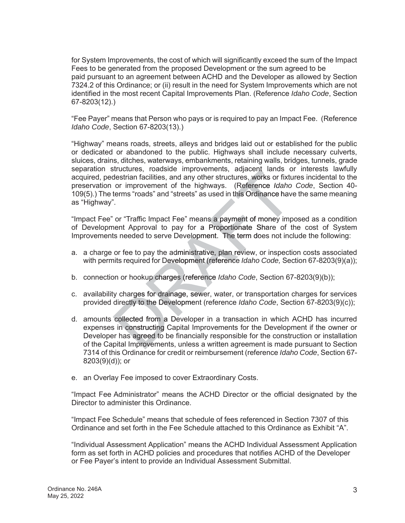for System Improvements, the cost of which will significantly exceed the sum of the Impact Fees to be generated from the proposed Development or the sum agreed to be paid pursuant to an agreement between ACHD and the Developer as allowed by Section 7324.2 of this Ordinance; or (ii) result in the need for System Improvements which are not identified in the most recent Capital Improvements Plan. (Reference *Idaho Code*, Section 67-8203(12).)

"Fee Payer" means that Person who pays or is required to pay an Impact Fee. (Reference *Idaho Code*, Section 67-8203(13).)

"Highway" means roads, streets, alleys and bridges laid out or established for the public or dedicated or abandoned to the public. Highways shall include necessary culverts, sluices, drains, ditches, waterways, embankments, retaining walls, bridges, tunnels, grade separation structures, roadside improvements, adjacent lands or interests lawfully acquired, pedestrian facilities, and any other structures, works or fixtures incidental to the preservation or improvement of the highways. (Reference Idaho Code, Section 40-109(5).) The terms "roads" and "streets" as used in this Ordinance have the same meaning as "Highway".

"Impact Fee" or "Traffic Impact Fee" means a payment of money imposed as a condition of Development Approval to pay for a Proportionate Share of the cost of System Improvements needed to serve Development. The term does not include the following:

- a. a charge or fee to pay the administrative, plan review, or inspection costs associated with permits required for Development (reference Idaho Code, Section 67-8203(9)(a));
- b. connection or hookup charges (reference *Idaho Code*, Section 67-8203(9)(b));
- c. availability charges for drainage, sewer, water, or transportation charges for services provided directly to the Development (reference Idaho Code, Section 67-8203(9)(c));
- d. amounts collected from a Developer in a transaction in which ACHD has incurred De expenses in constructing Capital Improvements for the Development if the owner or Developer has agreed to be financially responsible for the construction or installation of the Capital Improvements, unless a written agreement is made pursuant to Section 7314 of this Ordinance for credit or reimbursement (reference *Idaho Code*, Section 67- 8203(9)(d)); or
- e. an Overlay Fee imposed to cover Extraordinary Costs.

"Impact Fee Administrator" means the ACHD Director or the official designated by the Director to administer this Ordinance.

"Impact Fee Schedule" means that schedule of fees referenced in Section 7307 of this Ordinance and set forth in the Fee Schedule attached to this Ordinance as Exhibit "A".

"Individual Assessment Application" means the ACHD Individual Assessment Application form as set forth in ACHD policies and procedures that notifies ACHD of the Developer or Fee Payer's intent to provide an Individual Assessment Submittal.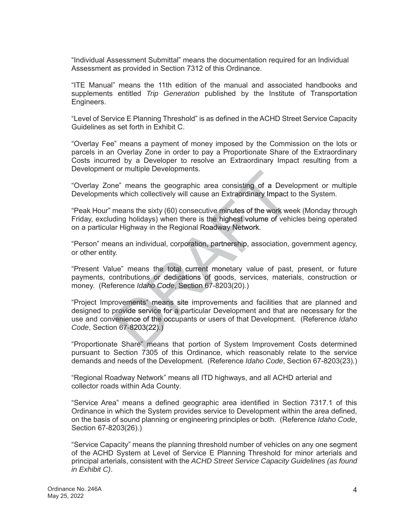"Individual Assessment Submittal" means the documentation required for an Individual Assessment as provided in Section 7312 of this Ordinance.

"ITE Manual" means the 11th edition of the manual and associated handbooks and supplements entitled *Trip Generation* published by the Institute of Transportation Engineers.

"Level of Service E Planning Threshold" is as defined in the ACHD Street Service Capacity Guidelines as set forth in Exhibit C.

"Overlay Fee" means a payment of money imposed by the Commission on the lots or parcels in an Overlay Zone in order to pay a Proportionate Share of the Extraordinary Costs incurred by a Developer to resolve an Extraordinary Impact resulting from a Development or multiple Developments.

"Overlay Zone" means the geographic area consisting of a Development or multiple Developments which collectively will cause an Extraordinary Impact to the System.

"Peak Hour" means the sixty (60) consecutive minutes of the work week (Monday through Friday, excluding holidays) when there is the highest volume of vehicles being operated on a particular Highway in the Regional Roadway Network.

"Person" means an individual, corporation, partnership, association, government agency, or other entity.

"Present Value" means the total current monetary value of past, present, or future payments, contributions or dedications of goods, services, materials, construction or money. (Reference *Idaho Code*, Section 67-8203(20).)

"Project Improvements" means site improvements and facilities that are planned and designed to provide service for a particular Development and that are necessary for the use and convenience of the occupants or users of that Development. (Reference Idaho *Code*, Section 67-8203(22).) 8203(22).) ne" means the geographic area consisting of a Devette the work the switch collectively will cause an Extraordinary Impact to means the sixty (60) consecutive minutes of the work we ding holidays) when there is the highest

"Proportionate Share" means that portion of System Improvement Costs determined pursuant to Section 7305 of this Ordinance, which reasonably relate to the service demands and needs of the Development. (Reference *Idaho Code*, Section 67-8203(23).)

"Regional Roadway Network" means all ITD highways, and all ACHD arterial and collector roads within Ada County.

"Service Area" means a defined geographic area identified in Section 7317.1 of this Ordinance in which the System provides service to Development within the area defined, on the basis of sound planning or engineering principles or both. (Reference *Idaho Code*, Section 67-8203(26).)

"Service Capacity" means the planning threshold number of vehicles on any one segment of the ACHD System at Level of Service E Planning Threshold for minor arterials and principal arterials, consistent with the *ACHD Street Service Capacity Guidelines (as found in Exhibit C)*.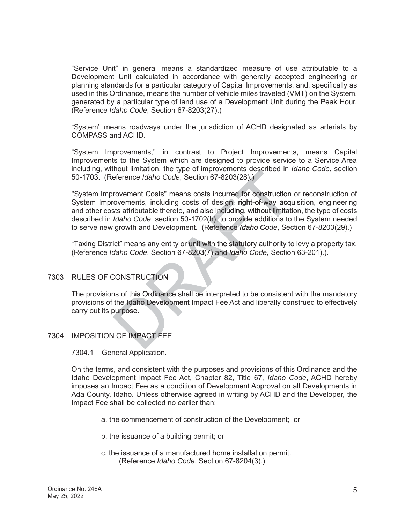"Service Unit" in general means a standardized measure of use attributable to a Development Unit calculated in accordance with generally accepted engineering or planning standards for a particular category of Capital Improvements, and, specifically as used in this Ordinance, means the number of vehicle miles traveled (VMT) on the System, generated by a particular type of land use of a Development Unit during the Peak Hour. (Reference *Idaho Code*, Section 67-8203(27).)

"System" means roadways under the jurisdiction of ACHD designated as arterials by COMPASS and ACHD.

"System Improvements," in contrast to Project Improvements, means Capital Improvements to the System which are designed to provide service to a Service Area including, without limitation, the type of improvements described in Idaho Code, section 50-1703. (Reference *Idaho Code*, Section 67-8203(28).) ).)

"System Improvement Costs" means costs incurred for construction or reconstruction of System Improvements, including costs of design, right-of-way acquisition, engineering and other costs attributable thereto, and also including, without limitation, the type of costs described in *Idaho Code*, section 50-1702(h), to provide additions to the System needed to serve new growth and Development. (Reference *Idaho Code*, Section 67-8203(29).)

"Taxing District" means any entity or unit with the statutory authority to levy a property tax. (Reference *Idaho Code*, Section 67-8203(7) and *Idaho Code*, Section 63-201).). n *Idaho*

# 7303 RULES OF CONSTRUCTION

The provisions of this Ordinance shall be interpreted to be consistent with the mandatory provisions of the Idaho Development Impact Fee Act and liberally construed to effectively carry out its purpose.

## 7304 IMPOSITION OF IMPACT FEE

7304.1 General Application.

On the terms, and consistent with the purposes and provisions of this Ordinance and the Idaho Development Impact Fee Act, Chapter 82, Title 67, *Idaho Code*, ACHD hereby imposes an Impact Fee as a condition of Development Approval on all Developments in Ada County, Idaho. Unless otherwise agreed in writing by ACHD and the Developer, the Impact Fee shall be collected no earlier than:

- a. the commencement of construction of the Development; or
- b. the issuance of a building permit; or
- c. the issuance of a manufactured home installation permit. (Reference *Idaho Code*, Section 67-8204(3).)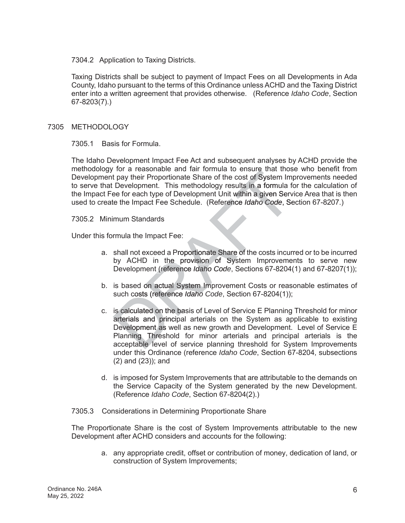7304.2 Application to Taxing Districts.

Taxing Districts shall be subject to payment of Impact Fees on all Developments in Ada County, Idaho pursuant to the terms of this Ordinance unless ACHD and the Taxing District enter into a written agreement that provides otherwise. (Reference *Idaho Code*, Section 67-8203(7).)

#### 7305 METHODOLOGY

7305.1 Basis for Formula.

The Idaho Development Impact Fee Act and subsequent analyses by ACHD provide the methodology for a reasonable and fair formula to ensure that those who benefit from Development pay their Proportionate Share of the cost of System Improvements needed to serve that Development. This methodology results in a formula for the calculation of the Impact Fee for each type of Development Unit within a given Service Area that is then used to create the Impact Fee Schedule. (Reference Idaho Code, Section 67-8207.)

7305.2 Minimum Standards

Under this formula the Impact Fee:

- a. shall not exceed a Proportionate Share of the costs incurred or to be incurred by ACHD in the provision of System Improvements to serve new Development (reference *Idaho Code*, Sections 67-8204(1) and 67-8207(1));
- b. is based on actual System Improvement Costs or reasonable estimates of such costs (reference *Idaho Code*, Section 67-8204(1));
- c. is calculated on the basis of Level of Service E Planning Threshold for minor arterials and principal arterials on the System as applicable to existing Development as well as new growth and Development. Level of Service E Planning Threshold for minor arterials and principal arterials is the acceptable level of service planning threshold for System Improvements under this Ordinance (reference *Idaho Code*, Section 67-8204, subsections (2) and (23)); and for a reasonable and fair formula to ensure that those<br>they their Proportionate Share of the cost of System Im<br>Development. This methodology results in a formula f<br>ee for each type of Development Unit within a given Serve<br>
- d. is imposed for System Improvements that are attributable to the demands on the Service Capacity of the System generated by the new Development. (Reference *Idaho Code*, Section 67-8204(2).)

#### 7305.3 Considerations in Determining Proportionate Share

The Proportionate Share is the cost of System Improvements attributable to the new Development after ACHD considers and accounts for the following:

> a. any appropriate credit, offset or contribution of money, dedication of land, or construction of System Improvements;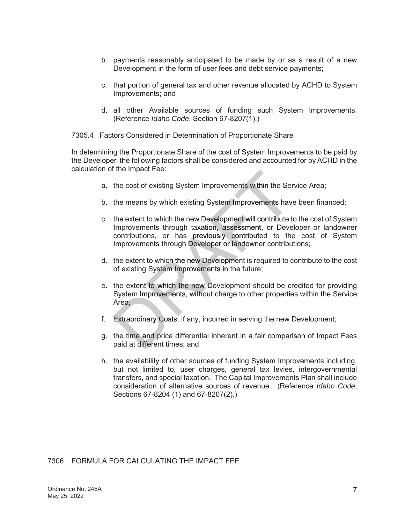- b. payments reasonably anticipated to be made by or as a result of a new Development in the form of user fees and debt service payments;
- c. that portion of general tax and other revenue allocated by ACHD to System Improvements; and
- d. all other Available sources of funding such System Improvements. (Reference *Idaho Code*, Section 67-8207(1).)

#### 7305.4 Factors Considered in Determination of Proportionate Share

In determining the Proportionate Share of the cost of System Improvements to be paid by the Developer, the following factors shall be considered and accounted for by ACHD in the calculation of the Impact Fee:

- a. the cost of existing System Improvements within the Service Area;
- b. the means by which existing System Improvements have been financed;
- c. the extent to which the new Development will contribute to the cost of System Improvements through taxation, assessment, or Developer or landowner contributions, or has previously contributed to the cost of System Improvements through Developer or landowner contributions; The impact ree.<br>
the cost of existing System Improvements within the Ser<br>
the means by which existing System Improvements hav<br>
the extent to which the new Development will contribute t<br>
Improvements through taxation, asses
- d. the extent to which the new Development is required to contribute to the cost of existing System Improvements in the future;
- e. the extent to which the new Development should be credited for providing System Improvements, without charge to other properties within the Service Area;
- Area;<br>F. Extraordinary Costs, if any, incurred in serving the new Development;
- g. the time and price differential inherent in a fair comparison of Impact Fees paid at different times; and
- h. the availability of other sources of funding System Improvements including, but not limited to, user charges, general tax levies, intergovernmental transfers, and special taxation. The Capital Improvements Plan shall include consideration of alternative sources of revenue. (Reference *Idaho Code*, Sections 67-8204 (1) and 67-8207(2).)

# 7306 FORMULA FOR CALCULATING THE IMPACT FEE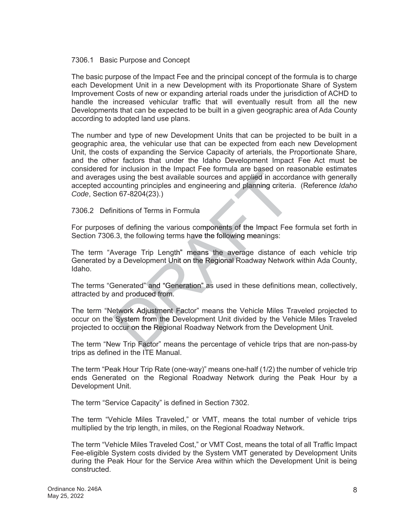#### 7306.1 Basic Purpose and Concept

The basic purpose of the Impact Fee and the principal concept of the formula is to charge each Development Unit in a new Development with its Proportionate Share of System Improvement Costs of new or expanding arterial roads under the jurisdiction of ACHD to handle the increased vehicular traffic that will eventually result from all the new Developments that can be expected to be built in a given geographic area of Ada County according to adopted land use plans.

The number and type of new Development Units that can be projected to be built in a geographic area, the vehicular use that can be expected from each new Development Unit, the costs of expanding the Service Capacity of arterials, the Proportionate Share, and the other factors that under the Idaho Development Impact Fee Act must be considered for inclusion in the Impact Fee formula are based on reasonable estimates bas and averages using the best available sources and applied in accordance with generally accepted accounting principles and engineering and planning criteria. (Reference Idaho *Code*, Section 67-8204(23).)

7306.2 Definitions of Terms in Formula

For purposes of defining the various components of the Impact Fee formula set forth in Section 7306.3, the following terms have the following meanings:

The term "Average Trip Length" means the average distance of each vehicle trip Generated by a Development Unit on the Regional Roadway Network within Ada County, Idaho.

The terms "Generated" and "Generation" as used in these definitions mean, collectively, attracted by and produced from.

The term "Network Adjustment Factor" means the Vehicle Miles Traveled projected to occur on the System from the Development Unit divided by the Vehicle Miles Traveled projected to occur on the Regional Roadway Network from the Development Unit.

The term "New Trip Factor" means the percentage of vehicle trips that are non-pass-by trips as defined in the ITE Manual.

The term "Peak Hour Trip Rate (one-way)" means one-half (1/2) the number of vehicle trip ends Generated on the Regional Roadway Network during the Peak Hour by a Development Unit.

The term "Service Capacity" is defined in Section 7302.

The term "Vehicle Miles Traveled," or VMT, means the total number of vehicle trips multiplied by the trip length, in miles, on the Regional Roadway Network.

The term "Vehicle Miles Traveled Cost," or VMT Cost, means the total of all Traffic Impact Fee-eligible System costs divided by the System VMT generated by Development Units during the Peak Hour for the Service Area within which the Development Unit is being constructed.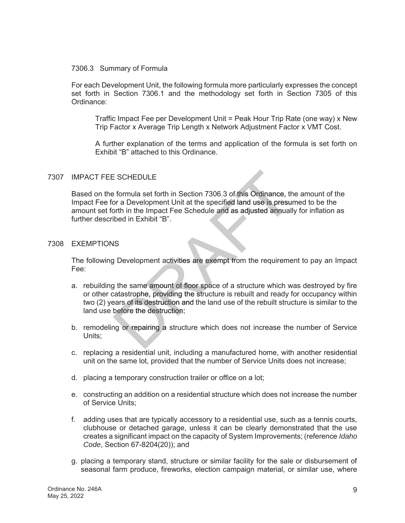#### 7306.3 Summary of Formula

For each Development Unit, the following formula more particularly expresses the concept set forth in Section 7306.1 and the methodology set forth in Section 7305 of this Ordinance:

Traffic Impact Fee per Development Unit = Peak Hour Trip Rate (one way) x New Trip Factor x Average Trip Length x Network Adjustment Factor x VMT Cost.

A further explanation of the terms and application of the formula is set forth on Exhibit "B" attached to this Ordinance.

#### 7307 IMPACT FEE SCHEDULE

Based on the formula set forth in Section 7306.3 of this Ordinance, the amount of the Impact Fee for a Development Unit at the specified land use is presumed to be the amount set forth in the Impact Fee Schedule and as adjusted annually for inflation as further described in Exhibit "B".

#### 7308 EXEMPTIONS

The following Development activities are exempt from the requirement to pay an Impact Fee:

- a. rebuilding the same amount of floor space of a structure which was destroyed by fire or other catastrophe, providing the structure is rebuilt and ready for occupancy within two (2) years of its destruction and the land use of the rebuilt structure is similar to the land use before the destruction; E SCHEDULE<br>
E formula set forth in Section 7306.3 of this Ordinance, the correct of a Development Unit at the specified land use is presument in the Impact Fee Schedule and as adjusted annuall<br>
ibed in Exhibit "B".<br>
SS<br>
SS
- b. remodeling or repairing a structure which does not increase the number of Service Units;
- c. replacing a residential unit, including a manufactured home, with another residential unit on the same lot, provided that the number of Service Units does not increase;
- d. placing a temporary construction trailer or office on a lot;
- e. constructing an addition on a residential structure which does not increase the number of Service Units;
- f. adding uses that are typically accessory to a residential use, such as a tennis courts, clubhouse or detached garage, unless it can be clearly demonstrated that the use creates a significant impact on the capacity of System Improvements; (reference *Idaho Code*, Section 67-8204(20)); and
- g. placing a temporary stand, structure or similar facility for the sale or disbursement of seasonal farm produce, fireworks, election campaign material, or similar use, where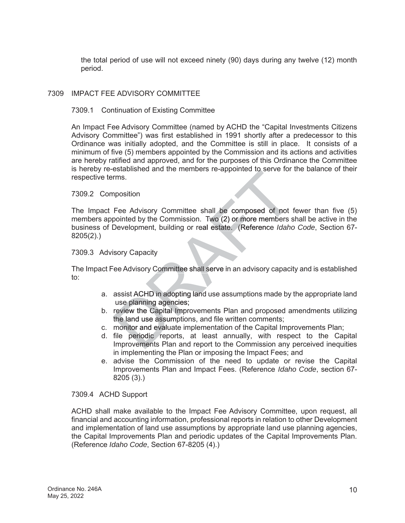the total period of use will not exceed ninety (90) days during any twelve (12) month period.

# 7309 IMPACT FEE ADVISORY COMMITTEE

#### 7309.1 Continuation of Existing Committee

An Impact Fee Advisory Committee (named by ACHD the "Capital Investments Citizens Advisory Committee") was first established in 1991 shortly after a predecessor to this Ordinance was initially adopted, and the Committee is still in place. It consists of a minimum of five (5) members appointed by the Commission and its actions and activities are hereby ratified and approved, and for the purposes of this Ordinance the Committee is hereby re-established and the members re-appointed to serve for the balance of their respective terms.

#### 7309.2 Composition

The Impact Fee Advisory Committee shall be composed of not fewer than five (5) members appointed by the Commission. Two (2) or more members shall be active in the memb business of Development, building or real estate. (Reference Idaho Code, Section 67-8205(2).) established and the members re-appointed to serve for<br>
rms.<br>
nposition<br>
Fee Advisory Committee shall be composed of not<br>
pointed by the Commission. Two (2) or more members s<br>
Development, building or real estate. (Referenc

#### 7309.3 Advisory Capacity

The Impact Fee Advisory Committee shall serve in an advisory capacity and is established to:

- a. assist ACHD in adopting land use assumptions made by the appropriate land use planning agencies;
- b. review the Capital Improvements Plan and proposed amendments utilizing the land use assumptions, and file written comments;
- c. monitor and evaluate implementation of the Capital Improvements Plan;
- d. file periodic reports, at least annually, with respect to the Capital Improvements Plan and report to the Commission any perceived inequities in implementing the Plan or imposing the Impact Fees; and
- e. advise the Commission of the need to update or revise the Capital Improvements Plan and Impact Fees. (Reference *Idaho Code*, section 67- 8205 (3).)

#### 7309.4 ACHD Support

ACHD shall make available to the Impact Fee Advisory Committee, upon request, all financial and accounting information, professional reports in relation to other Development and implementation of land use assumptions by appropriate land use planning agencies, the Capital Improvements Plan and periodic updates of the Capital Improvements Plan. (Reference *Idaho Code*, Section 67-8205 (4).)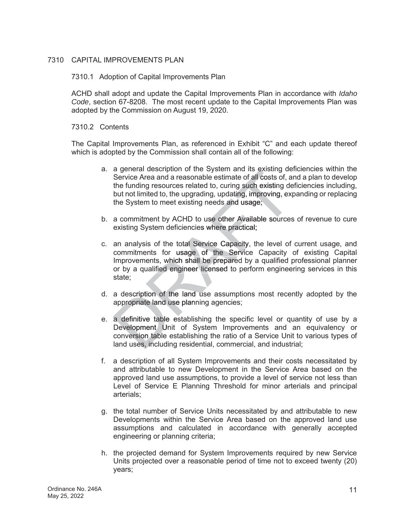# 7310 CAPITAL IMPROVEMENTS PLAN

#### 7310.1 Adoption of Capital Improvements Plan

ACHD shall adopt and update the Capital Improvements Plan in accordance with *Idaho Code*, section 67-8208. The most recent update to the Capital Improvements Plan was adopted by the Commission on August 19, 2020.

#### 7310.2 Contents

The Capital Improvements Plan, as referenced in Exhibit "C" and each update thereof which is adopted by the Commission shall contain all of the following:

- a. a general description of the System and its existing deficiencies within the Service Area and a reasonable estimate of all costs of, and a plan to develop the funding resources related to, curing such existing deficiencies including, but not limited to, the upgrading, updating, improving, expanding or replacing the System to meet existing needs and usage;
- the System to meet existing needs and usage;<br>b. a commitment by ACHD to use other Available sources of revenue to cure existing System deficiencies where practical;
- c. an analysis of the total Service Capacity, the level of current usage, and commitments for usage of the Service Capacity of existing Capital Improvements, which shall be prepared by a qualified professional planner or by a qualified engineer licensed to perform engineering services in this state; a general description of the System and its existing de<br>Service Area and a reasonable estimate of all costs of, a<br>the funding resources related to, curing such existing de<br>but not limited to, the upgrading, updating, impro
- d. a description of the land use assumptions most recently adopted by the appropriate land use planning agencies;
- e. a definitive table establishing the specific level or quantity of use by a Development Unit of System Improvements and an equivalency or conversion table establishing the ratio of a Service Unit to various types of land uses, including residential, commercial, and industrial;
- f. a description of all System Improvements and their costs necessitated by and attributable to new Development in the Service Area based on the approved land use assumptions, to provide a level of service not less than Level of Service E Planning Threshold for minor arterials and principal arterials;
- g. the total number of Service Units necessitated by and attributable to new Developments within the Service Area based on the approved land use assumptions and calculated in accordance with generally accepted engineering or planning criteria;
- h. the projected demand for System Improvements required by new Service Units projected over a reasonable period of time not to exceed twenty (20) years;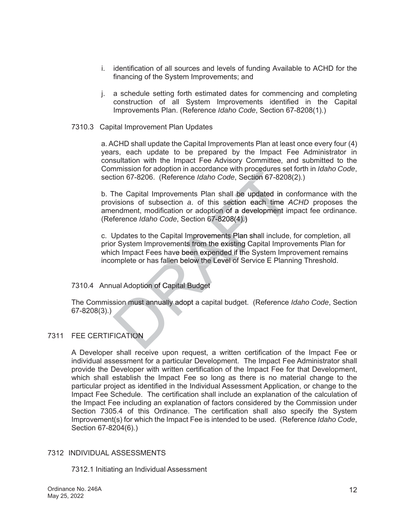- i. identification of all sources and levels of funding Available to ACHD for the financing of the System Improvements; and
- j. a schedule setting forth estimated dates for commencing and completing construction of all System Improvements identified in the Capital Improvements Plan. (Reference *Idaho Code*, Section 67-8208(1).)
- 7310.3 Capital Improvement Plan Updates

a. ACHD shall update the Capital Improvements Plan at least once every four (4) years, each update to be prepared by the Impact Fee Administrator in consultation with the Impact Fee Advisory Committee, and submitted to the Commission for adoption in accordance with procedures set forth in *Idaho Code*, section 67-8206. (Reference *Idaho Code*, Section 67-8208(2).)

b. The Capital Improvements Plan shall be updated in conformance with the provisions of subsection a. of this section each time ACHD proposes the amendment, modification or adoption of a development impact fee ordinance. (Reference *Idaho Code*, Section 67-8208(4).) mmission for adoption in accordance with procedures set<br>tion 67-8206. (Reference *Idaho Code*, Section 67-8208)<br>The Capital Improvements Plan shall be updated in co<br>visions of subsection a. of this section each time A<br>endm

c. Updates to the Capital Improvements Plan shall include, for completion, all prior System Improvements from the existing Capital Improvements Plan for which Impact Fees have been expended if the System Improvement remains incomplete or has fallen below the Level of Service E Planning Threshold.

# 7310.4 Annual Adoption of Capital Budget

7310.4 Annual Adoption of Capital Budget<br>The Commission must annually adopt a capital budget. (Reference *Idaho Code*, Section 67-8208(3).)

# 7311 FEE CERTIFICATION

A Developer shall receive upon request, a written certification of the Impact Fee or individual assessment for a particular Development. The Impact Fee Administrator shall provide the Developer with written certification of the Impact Fee for that Development, which shall establish the Impact Fee so long as there is no material change to the particular project as identified in the Individual Assessment Application, or change to the Impact Fee Schedule. The certification shall include an explanation of the calculation of the Impact Fee including an explanation of factors considered by the Commission under Section 7305.4 of this Ordinance. The certification shall also specify the System Improvement(s) for which the Impact Fee is intended to be used. (Reference *Idaho Code*, Section 67-8204(6).)

# 7312 INDIVIDUAL ASSESSMENTS

7312.1 Initiating an Individual Assessment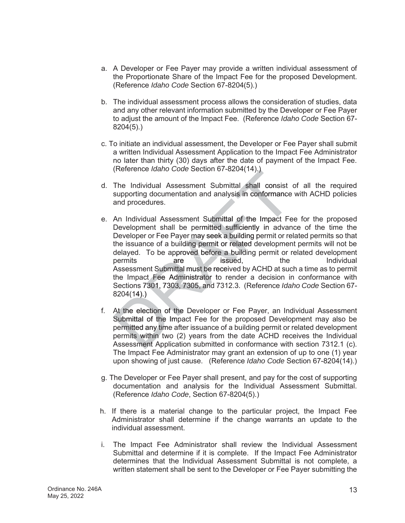- a. A Developer or Fee Payer may provide a written individual assessment of the Proportionate Share of the Impact Fee for the proposed Development. (Reference *Idaho Code* Section 67-8204(5).)
- b. The individual assessment process allows the consideration of studies, data and any other relevant information submitted by the Developer or Fee Payer to adjust the amount of the Impact Fee. (Reference *Idaho Code* Section 67- 8204(5).)
- c. To initiate an individual assessment, the Developer or Fee Payer shall submit a written Individual Assessment Application to the Impact Fee Administrator no later than thirty (30) days after the date of payment of the Impact Fee. (Reference *Idaho Code* Section 67-8204(14).)
- d. The Individual Assessment Submittal shall consist of all the required supporting documentation and analysis in conformance with ACHD policies and procedures.
- e. An Individual Assessment Submittal of the Impact Fee for the proposed Development shall be permitted sufficiently in advance of the time the Developer or Fee Payer may seek a building permit or related permits so that the issuance of a building permit or related development permits will not be delayed. To be approved before a building permit or related development permits are issued, the Individual Assessment Submittal must be received by ACHD at such a time as to permit the Impact Fee Administrator to render a decision in conformance with Sections 7301, 7303, 7305, and 7312.3. (Reference Idaho Code Section 67-8204(14).) (Reference *Idaho Code* Section 67-8204(14).)<br>The Individual Assessment Submittal shall consist<br>supporting documentation and analysis in conformance<br>and procedures.<br>An Individual Assessment Submittal of the Impact Fe<br>Deve issued.
- 8204(14).)<br>f. At the election of the Developer or Fee Payer, an Individual Assessment Submittal of the Impact Fee for the proposed Development may also be permitted any time after issuance of a building permit or related development permits within two (2) years from the date ACHD receives the Individual Assessment Application submitted in conformance with section 7312.1 (c). The Impact Fee Administrator may grant an extension of up to one (1) year upon showing of just cause. (Reference *Idaho Code* Section 67-8204(14).)
- g. The Developer or Fee Payer shall present, and pay for the cost of supporting documentation and analysis for the Individual Assessment Submittal. (Reference *Idaho Code*, Section 67-8204(5).)
- h. If there is a material change to the particular project, the Impact Fee Administrator shall determine if the change warrants an update to the individual assessment.
- i. The Impact Fee Administrator shall review the Individual Assessment Submittal and determine if it is complete. If the Impact Fee Administrator determines that the Individual Assessment Submittal is not complete, a written statement shall be sent to the Developer or Fee Payer submitting the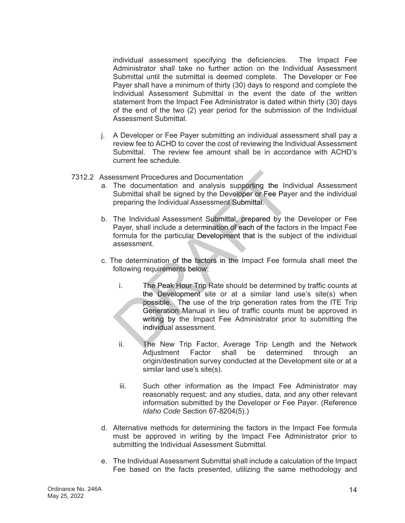individual assessment specifying the deficiencies. The Impact Fee Administrator shall take no further action on the Individual Assessment Submittal until the submittal is deemed complete. The Developer or Fee Payer shall have a minimum of thirty (30) days to respond and complete the Individual Assessment Submittal in the event the date of the written statement from the Impact Fee Administrator is dated within thirty (30) days of the end of the two (2) year period for the submission of the Individual Assessment Submittal.

- j. A Developer or Fee Payer submitting an individual assessment shall pay a review fee to ACHD to cover the cost of reviewing the Individual Assessment Submittal. The review fee amount shall be in accordance with ACHD's current fee schedule.
- 7312.2 Assessment Procedures and Documentation
	- a. The documentation and analysis supporting the Individual Assessment Submittal shall be signed by the Developer or Fee Payer and the individual preparing the Individual Assessment Submittal.
	- preparing the Individual Assessment Submittal.<br>b. The Individual Assessment Submittal, prepared by the Developer or Fee Payer, shall include a determination of each of the factors in the Impact Fee formula for the particular Development that is the subject of the individual assessment.
	- c. The determination of the factors in the Impact Fee formula shall meet the following requirements below:
- i. The Peak Hour Trip Rate should be determined by traffic counts at R the Development site or at a similar land use's site(s) when possible. The use of the trip generation rates from the ITE Trip Generation Manual in lieu of traffic counts must be approved in writing by the Impact Fee Administrator prior to submitting the individual assessment. individua essment Procedures and Documentation<br>
The documentation and analysis supporting the Ind<br>
Submittal shall be signed by the Developer or Fee Paye<br>
preparing the Individual Assessment Submittal.<br>
The Individual Assessment Sub
	- ii. The New Trip Factor, Average Trip Length and the Network Adjustment Factor shall be determined through an origin/destination survey conducted at the Development site or at a similar land use's site(s).
	- iii. Such other information as the Impact Fee Administrator may reasonably request; and any studies, data, and any other relevant information submitted by the Developer or Fee Payer. (Reference *Idaho Code* Section 67-8204(5).)
	- d. Alternative methods for determining the factors in the Impact Fee formula must be approved in writing by the Impact Fee Administrator prior to submitting the Individual Assessment Submittal.
	- e. The Individual Assessment Submittal shall include a calculation of the Impact Fee based on the facts presented, utilizing the same methodology and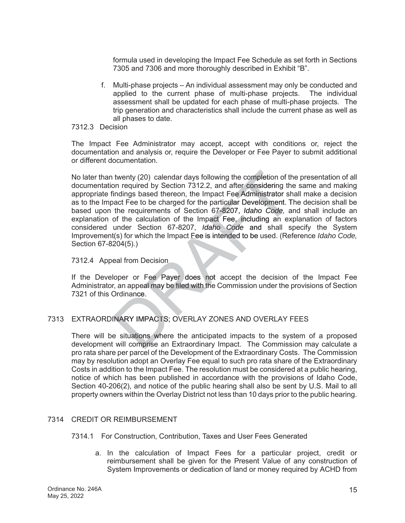formula used in developing the Impact Fee Schedule as set forth in Sections 7305 and 7306 and more thoroughly described in Exhibit "B".

- f. Multi-phase projects An individual assessment may only be conducted and applied to the current phase of multi-phase projects. The individual assessment shall be updated for each phase of multi-phase projects. The trip generation and characteristics shall include the current phase as well as all phases to date.
- 7312.3 Decision

The Impact Fee Administrator may accept, accept with conditions or, reject the documentation and analysis or, require the Developer or Fee Payer to submit additional or different documentation.

No later than twenty (20) calendar days following the completion of the presentation of all documentation required by Section 7312.2, and after considering the same and making appropriate findings based thereon, the Impact Fee Administrator shall make a decision as to the Impact Fee to be charged for the particular Development. The decision shall be based upon the requirements of Section 67-8207, Idaho Code, and shall include an explanation of the calculation of the Impact Fee, including an explanation of factors considered under Section 67-8207, *Idaho Code* and shall specify the System Improvement(s) for which the Impact Fee is intended to be used. (Reference Idaho Code, Section 67-8204(5).) twenty (20) calendar days following the completion of the proposition required by Section 7312.2, and after considering the indings based thereon, the Impact Fee Administrator shact Fee to be charged for the particular Dev

#### 7312.4 Appeal from Decision

Tand Appeal from Decision<br>If the Developer or Fee Payer does not accept the decision of the Impact Fee Administrator, an appeal may be filed with the Commission under the provisions of Section 7321 of this Ordinance.

# 7313 EXTRAORDINARY IMPACTS; OVERLAY ZONES AND OVERLAY FEES

There will be situations where the anticipated impacts to the system of a proposed development will comprise an Extraordinary Impact. The Commission may calculate a pro rata share per parcel of the Development of the Extraordinary Costs. The Commission may by resolution adopt an Overlay Fee equal to such pro rata share of the Extraordinary Costs in addition to the Impact Fee. The resolution must be considered at a public hearing, notice of which has been published in accordance with the provisions of Idaho Code, Section 40-206(2), and notice of the public hearing shall also be sent by U.S. Mail to all property owners within the Overlay District not less than 10 days prior to the public hearing.

# 7314 CREDIT OR REIMBURSEMENT

#### 7314.1 For Construction, Contribution, Taxes and User Fees Generated

a. In the calculation of Impact Fees for a particular project, credit or reimbursement shall be given for the Present Value of any construction of System Improvements or dedication of land or money required by ACHD from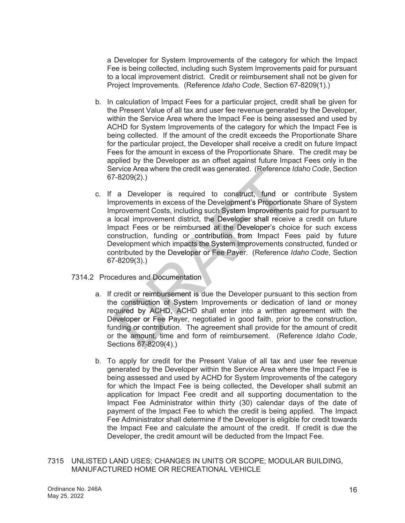a Developer for System Improvements of the category for which the Impact Fee is being collected, including such System Improvements paid for pursuant to a local improvement district. Credit or reimbursement shall not be given for Project Improvements. (Reference *Idaho Code*, Section 67-8209(1).)

- b. In calculation of Impact Fees for a particular project, credit shall be given for the Present Value of all tax and user fee revenue generated by the Developer, within the Service Area where the Impact Fee is being assessed and used by ACHD for System Improvements of the category for which the Impact Fee is being collected. If the amount of the credit exceeds the Proportionate Share for the particular project, the Developer shall receive a credit on future Impact Fees for the amount in excess of the Proportionate Share. The credit may be applied by the Developer as an offset against future Impact Fees only in the Service Area where the credit was generated. (Reference *Idaho Code*, Section 67-8209(2).)
- c. If a Developer is required to construct, fund or contribute System Improvements in excess of the Development's Proportionate Share of System Improvement Costs, including such System Improvements paid for pursuant to a local improvement district, the Developer shall receive a credit on future Impact Fees or be reimbursed at the Developer's choice for such excess construction, funding or contribution from Impact Fees paid by future Development which impacts the System Improvements constructed, funded or contributed by the Developer or Fee Payer. (Reference Idaho Code, Section 67-8209(3).) Fraction Area where the credit was generated. (Reference<br>
7-8209(2).)<br>
a Developer is required to construct, fund or<br>
nprovements in excess of the Development's Proportions<br>
nprovement Costs, including such System Improve
- 7314.2 Procedures and Documentation
	- a. If credit or reimbursement is due the Developer pursuant to this section from the construction of System Improvements or dedication of land or money required by ACHD, ACHD shall enter into a written agreement with the Developer or Fee Payer, negotiated in good faith, prior to the construction, funding or contribution. The agreement shall provide for the amount of credit or the amount, time and form of reimbursement. (Reference *Idaho Code*, t Sections 67-8209(4).) 67-82
	- b. To apply for credit for the Present Value of all tax and user fee revenue generated by the Developer within the Service Area where the Impact Fee is being assessed and used by ACHD for System Improvements of the category for which the Impact Fee is being collected, the Developer shall submit an application for Impact Fee credit and all supporting documentation to the Impact Fee Administrator within thirty (30) calendar days of the date of payment of the Impact Fee to which the credit is being applied. The Impact Fee Administrator shall determine if the Developer is eligible for credit towards the Impact Fee and calculate the amount of the credit. If credit is due the Developer, the credit amount will be deducted from the Impact Fee.
- 7315 UNLISTED LAND USES; CHANGES IN UNITS OR SCOPE; MODULAR BUILDING, MANUFACTURED HOME OR RECREATIONAL VEHICLE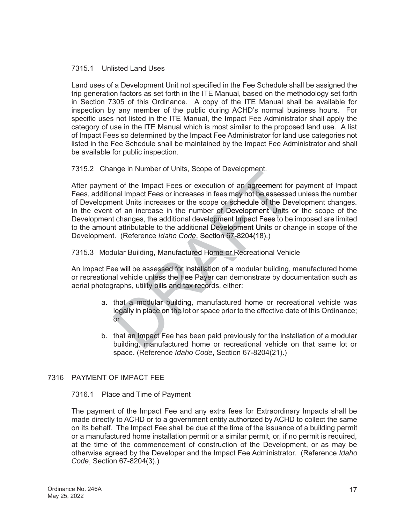# 7315.1 Unlisted Land Uses

Land uses of a Development Unit not specified in the Fee Schedule shall be assigned the trip generation factors as set forth in the ITE Manual, based on the methodology set forth in Section 7305 of this Ordinance. A copy of the ITE Manual shall be available for inspection by any member of the public during ACHD's normal business hours. For specific uses not listed in the ITE Manual, the Impact Fee Administrator shall apply the category of use in the ITE Manual which is most similar to the proposed land use. A list of Impact Fees so determined by the Impact Fee Administrator for land use categories not listed in the Fee Schedule shall be maintained by the Impact Fee Administrator and shall be available for public inspection.

7315.2 Change in Number of Units, Scope of Development.

After payment of the Impact Fees or execution of an agreement for payment of Impact Fees, additional Impact Fees or increases in fees may not be assessed unless the number of Development Units increases or the scope or schedule of the Development changes. In the event of an increase in the number of Development Units or the scope of the Development changes, the additional development Impact Fees to be imposed are limited to the amount attributable to the additional Development Units or change in scope of the Development. (Reference Idaho Code, Section 67-8204(18).) inge in Number of Units, Scope of Development.<br>
Int of the Impact Fees or execution of an agreement formal Impact Fees or increases in fees may not be assesse<br>
ent Units increases or the scope or schedule of the Developmen

# 7315.3 Modular Building, Manufactured Home or Recreational Vehicle

An Impact Fee will be assessed for installation of a modular building, manufactured home or recreational vehicle unless the Fee Payer can demonstrate by documentation such as aerial photographs, utility bills and tax records, either:

- a. that a modular building, manufactured home or recreational vehicle was legally in place on the lot or space prior to the effective date of this Ordinance; or
- b. that an Impact Fee has been paid previously for the installation of a modular building, manufactured home or recreational vehicle on that same lot or space. (Reference *Idaho Code*, Section 67-8204(21).)

# 7316 PAYMENT OF IMPACT FEE

# 7316.1 Place and Time of Payment

The payment of the Impact Fee and any extra fees for Extraordinary Impacts shall be made directly to ACHD or to a government entity authorized by ACHD to collect the same on its behalf. The Impact Fee shall be due at the time of the issuance of a building permit or a manufactured home installation permit or a similar permit, or, if no permit is required, at the time of the commencement of construction of the Development, or as may be otherwise agreed by the Developer and the Impact Fee Administrator. (Reference *Idaho Code*, Section 67-8204(3).)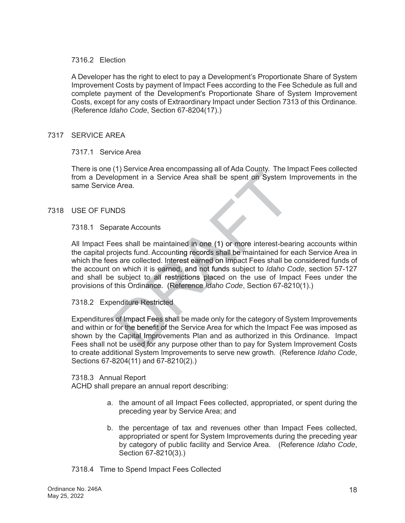## 7316.2 Election

A Developer has the right to elect to pay a Development's Proportionate Share of System Improvement Costs by payment of Impact Fees according to the Fee Schedule as full and complete payment of the Development's Proportionate Share of System Improvement Costs, except for any costs of Extraordinary Impact under Section 7313 of this Ordinance. (Reference *Idaho Code*, Section 67-8204(17).)

## 7317 SERVICE AREA

#### 7317.1 Service Area

There is one (1) Service Area encompassing all of Ada County. The Impact Fees collected from a Development in a Service Area shall be spent on System Improvements in the same Service Area.

#### 7318 USE OF FUNDS

#### 7318.1 Separate Accounts

All Impact Fees shall be maintained in one (1) or more interest-bearing accounts within the capital projects fund. Accounting records shall be maintained for each Service Area in which the fees are collected. Interest earned on Impact Fees shall be considered funds of the account on which it is earned, and not funds subject to Idaho Code, section 57-127 and shall be subject to all restrictions placed on the use of Impact Fees under the provisions of this Ordinance. (Reference *Idaho Code*, Section 67-8210(1).) (1) Service Area encompassing all of Ada County. The Indopment in a Service Area shall be spent on System In<br>e Area.<br>Present in a Service Area shall be spent on System In<br>expects fund. Accounting records shall be maintaine

# 7318.2 Expenditure Restricted

7318.2 Expenditure Restricted<br>Expenditures of Impact Fees shall be made only for the category of System Improvements and within or for the benefit of the Service Area for which the Impact Fee was imposed as shown by the Capital Improvements Plan and as authorized in this Ordinance. Impact Fees shall not be used for any purpose other than to pay for System Improvement Costs to create additional System Improvements to serve new growth. (Reference *Idaho Code*, Sections 67-8204(11) and 67-8210(2).)

#### 7318.3 Annual Report

ACHD shall prepare an annual report describing:

- a. the amount of all Impact Fees collected, appropriated, or spent during the preceding year by Service Area; and
- b. the percentage of tax and revenues other than Impact Fees collected, appropriated or spent for System Improvements during the preceding year by category of public facility and Service Area. (Reference *Idaho Code*, Section 67-8210(3).)

# 7318.4 Time to Spend Impact Fees Collected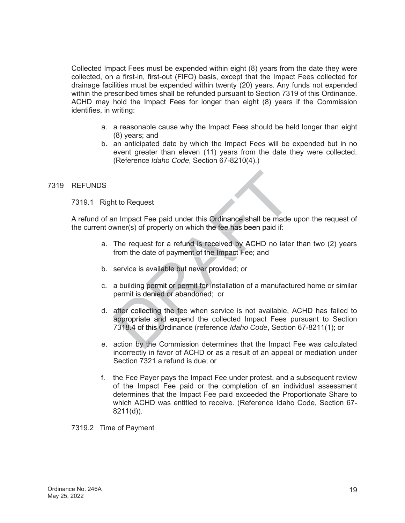Collected Impact Fees must be expended within eight (8) years from the date they were collected, on a first-in, first-out (FIFO) basis, except that the Impact Fees collected for drainage facilities must be expended within twenty (20) years. Any funds not expended within the prescribed times shall be refunded pursuant to Section 7319 of this Ordinance. ACHD may hold the Impact Fees for longer than eight (8) years if the Commission identifies, in writing:

- a. a reasonable cause why the Impact Fees should be held longer than eight (8) years; and
- b. an anticipated date by which the Impact Fees will be expended but in no event greater than eleven (11) years from the date they were collected. (Reference *Idaho Code*, Section 67-8210(4).)

# 7319 REFUNDS

7319.1 Right to Request

A refund of an Impact Fee paid under this Ordinance shall be made upon the request of the current owner(s) of property on which the fee has been paid if:

- a. The request for a refund is received by ACHD no later than two (2) years from the date of payment of the Impact Fee; and
- b. service is available but never provided; or
- c. a building permit or permit for installation of a manufactured home or similar permit is denied or abandoned; or
- d. after collecting the fee when service is not available, ACHD has failed to appropriate and expend the collected Impact Fees pursuant to Section 7318.4 of this Ordinance (reference Idaho Code, Section 67-8211(1); or nt to Request<br>
In Impact Fee paid under this Ordinance shall be made<br>
wner(s) of property on which the fee has been paid if:<br>
The request for a refund is received by ACHD no late<br>
from the date of payment of the Impact Fee
- e. action by the Commission determines that the Impact Fee was calculated incorrectly in favor of ACHD or as a result of an appeal or mediation under Section 7321 a refund is due; or
- f. the Fee Payer pays the Impact Fee under protest, and a subsequent review of the Impact Fee paid or the completion of an individual assessment determines that the Impact Fee paid exceeded the Proportionate Share to which ACHD was entitled to receive. (Reference Idaho Code, Section 67- 8211(d)).

7319.2 Time of Payment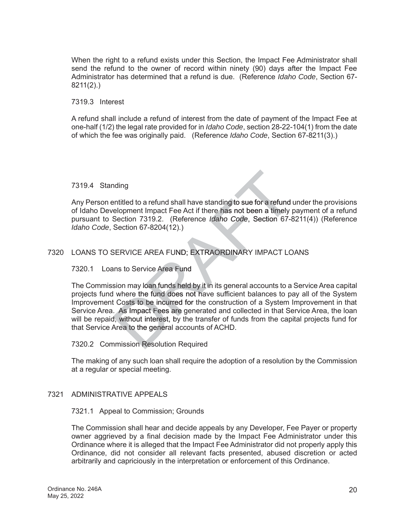When the right to a refund exists under this Section, the Impact Fee Administrator shall send the refund to the owner of record within ninety (90) days after the Impact Fee Administrator has determined that a refund is due. (Reference *Idaho Code*, Section 67- 8211(2).)

#### 7319.3 Interest

A refund shall include a refund of interest from the date of payment of the Impact Fee at one-half (1/2) the legal rate provided for in *Idaho Code*, section 28-22-104(1) from the date of which the fee was originally paid. (Reference *Idaho Code*, Section 67-8211(3).)

#### 7319.4 Standing

Any Person entitled to a refund shall have standing to sue for a refund under the provisions of Idaho Development Impact Fee Act if there has not been a timely payment of a refund pursuant to Section 7319.2. (Reference *Idaho Code*, Section 67-8211(4)) (Reference *Idaho Code*, Section 67-8204(12).)

# 7320 LOANS TO SERVICE AREA FUND; EXTRAORDINARY IMPACT LOANS

# 7320.1 Loans to Service Area Fund

The Commission may loan funds held by it in its general accounts to a Service Area capital projects fund where the fund does not have sufficient balances to pay all of the System Improvement Costs to be incurred for the construction of a System Improvement in that Service Area. As Impact Fees are generated and collected in that Service Area, the loan will be repaid, without interest, by the transfer of funds from the capital projects fund for that Service Area to the general accounts of ACHD. nding<br>
intitled to a refund shall have standing to sue for a refund u<br>
relopment Impact Fee Act if there has not been a timely p<br>
Section 7319.2. (Reference *Idaho Code*, Section 67-82<br>
Section 67-8204(12).)<br>
SERVICE AREA

#### 7320.2 Commission Resolution Required

The making of any such loan shall require the adoption of a resolution by the Commission at a regular or special meeting.

#### 7321 ADMINISTRATIVE APPEALS

#### 7321.1 Appeal to Commission; Grounds

The Commission shall hear and decide appeals by any Developer, Fee Payer or property owner aggrieved by a final decision made by the Impact Fee Administrator under this Ordinance where it is alleged that the Impact Fee Administrator did not properly apply this Ordinance, did not consider all relevant facts presented, abused discretion or acted arbitrarily and capriciously in the interpretation or enforcement of this Ordinance.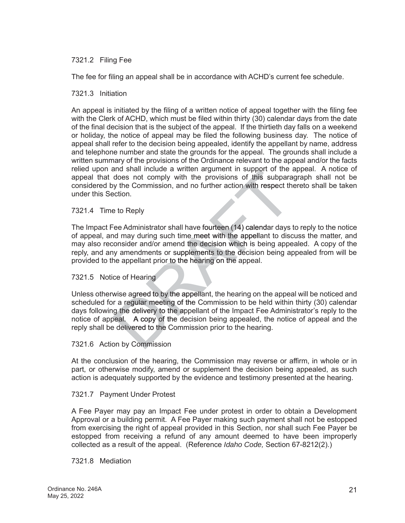# 7321.2 Filing Fee

The fee for filing an appeal shall be in accordance with ACHD's current fee schedule.

#### 7321.3 Initiation

An appeal is initiated by the filing of a written notice of appeal together with the filing fee with the Clerk of ACHD, which must be filed within thirty (30) calendar days from the date of the final decision that is the subject of the appeal. If the thirtieth day falls on a weekend or holiday, the notice of appeal may be filed the following business day. The notice of appeal shall refer to the decision being appealed, identify the appellant by name, address and telephone number and state the grounds for the appeal. The grounds shall include a written summary of the provisions of the Ordinance relevant to the appeal and/or the facts relied upon and shall include a written argument in support of the appeal. A notice of appeal that does not comply with the provisions of this subparagraph shall not be considered by the Commission, and no further action with respect thereto shall be taken under this Section.

#### 7321.4 Time to Reply

The Impact Fee Administrator shall have fourteen (14) calendar days to reply to the notice of appeal, and may during such time meet with the appellant to discuss the matter, and may also reconsider and/or amend the decision which is being appealed. A copy of the reply, and any amendments or supplements to the decision being appealed from will be provided to the appellant prior to the hearing on the appeal.

#### 7321.5 Notice of Hearing

Tand the Notice of Hearing<br>Unless otherwise agreed to by the appellant, the hearing on the appeal will be noticed and scheduled for a regular meeting of the Commission to be held within thirty (30) calendar days following the delivery to the appellant of the Impact Fee Administrator's reply to the notice of appeal. A copy of the decision being appealed, the notice of appeal and the reply shall be delivered to the Commission prior to the hearing. and shall include a written argument in support of the idoes not comply with the provisions of this subpara<br>y the Commission, and no further action with respect th<br>ection.<br>E to Reply<br>Fee Administrator shall have fourteen (

#### 7321.6 Action by Commission

At the conclusion of the hearing, the Commission may reverse or affirm, in whole or in part, or otherwise modify, amend or supplement the decision being appealed, as such action is adequately supported by the evidence and testimony presented at the hearing.

#### 7321.7 Payment Under Protest

A Fee Payer may pay an Impact Fee under protest in order to obtain a Development Approval or a building permit. A Fee Payer making such payment shall not be estopped from exercising the right of appeal provided in this Section, nor shall such Fee Payer be estopped from receiving a refund of any amount deemed to have been improperly collected as a result of the appeal. (Reference *Idaho Code,* Section 67-8212(2).)

#### 7321.8 Mediation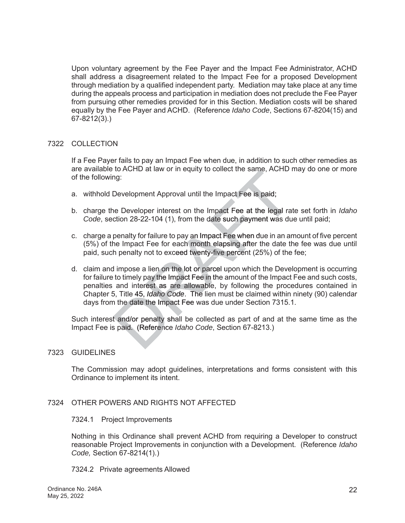Upon voluntary agreement by the Fee Payer and the Impact Fee Administrator, ACHD shall address a disagreement related to the Impact Fee for a proposed Development through mediation by a qualified independent party. Mediation may take place at any time during the appeals process and participation in mediation does not preclude the Fee Payer from pursuing other remedies provided for in this Section. Mediation costs will be shared equally by the Fee Payer and ACHD. (Reference *Idaho Code*, Sections 67-8204(15) and 67-8212(3).)

#### 7322 COLLECTION

If a Fee Payer fails to pay an Impact Fee when due, in addition to such other remedies as are available to ACHD at law or in equity to collect the same, ACHD may do one or more of the following:

- a. withhold Development Approval until the Impact Fee is paid;
- b. charge the Developer interest on the Impact Fee at the legal rate set forth in *Idaho* Code, section 28-22-104 (1), from the date such payment was due until paid;
- c. charge a penalty for failure to pay an Impact Fee when due in an amount of five percent (5%) of the Impact Fee for each month elapsing after the date the fee was due until paid, such penalty not to exceed twenty-five percent (25%) of the fee;
- d. claim and impose a lien on the lot or parcel upon which the Development is occurring for failure to timely pay the Impact Fee in the amount of the Impact Fee and such costs, penalties and interest as are allowable, by following the procedures contained in Chapter 5, Title 45, *Idaho Code*. The lien must be claimed within ninety (90) calendar days from the date the Impact Fee was due under Section 7315.1. to ACHD at law or in equity to collect the same, ACHD in the same of the same. ACHD in the Unity of the Unity of the Unity of the Unity of the Unity of the Unity of the Unity of failure to pay an Impact Fee at the legal r

Such interest and/or penalty shall be collected as part of and at the same time as the Impact Fee is paid. (Reference Idaho Code, Section 67-8213.)

#### 7323 GUIDELINES

The Commission may adopt guidelines, interpretations and forms consistent with this Ordinance to implement its intent.

#### 7324 OTHER POWERS AND RIGHTS NOT AFFECTED

#### 7324.1 Project Improvements

Nothing in this Ordinance shall prevent ACHD from requiring a Developer to construct reasonable Project Improvements in conjunction with a Development. (Reference *Idaho Code,* Section 67-8214(1).)

#### 7324.2 Private agreements Allowed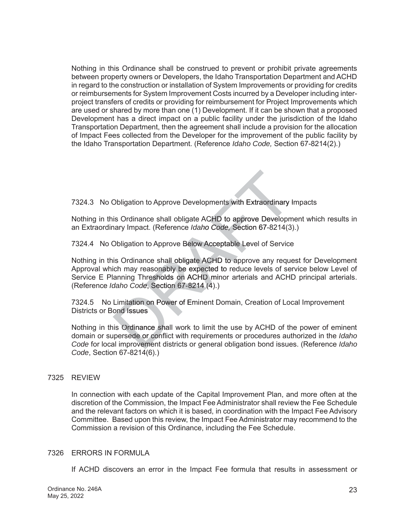Nothing in this Ordinance shall be construed to prevent or prohibit private agreements between property owners or Developers, the Idaho Transportation Department and ACHD in regard to the construction or installation of System Improvements or providing for credits or reimbursements for System Improvement Costs incurred by a Developer including interproject transfers of credits or providing for reimbursement for Project Improvements which are used or shared by more than one (1) Development. If it can be shown that a proposed Development has a direct impact on a public facility under the jurisdiction of the Idaho Transportation Department, then the agreement shall include a provision for the allocation of Impact Fees collected from the Developer for the improvement of the public facility by the Idaho Transportation Department. (Reference *Idaho Code,* Section 67-8214(2).)

7324.3 No Obligation to Approve Developments with Extraordinary Impacts

Nothing in this Ordinance shall obligate ACHD to approve Development which results in an Extraordinary Impact. (Reference *Idaho Code,* Section 67-8214(3).)

7324.4 No Obligation to Approve Below Acceptable Level of Service Lev

Nothing in this Ordinance shall obligate ACHD to approve any request for Development Approval which may reasonably be expected to reduce levels of service below Level of Service E Planning Thresholds on ACHD minor arterials and ACHD principal arterials. (Reference *Idaho Code*, Section 67-8214 (4).) *de*(4 Obligation to Approve Developments with Extraordinary I<br>is Ordinance shall obligate ACHD to approve Developm<br>arry Impact. (Reference *Idaho Code*, Section 67-8214(3)<br>Obligation to Approve Below Acceptable Level of Service<br>

7324.5 No Limitation on Power of Eminent Domain, Creation of Local Improvement Districts or Bond Issues

Nothing in this Ordinance shall work to limit the use by ACHD of the power of eminent domain or supersede or conflict with requirements or procedures authorized in the *Idaho* Code for local improvement districts or general obligation bond issues. (Reference Idaho *Code*, Section 67-8214(6).)

# 7325 REVIEW

In connection with each update of the Capital Improvement Plan, and more often at the discretion of the Commission, the Impact Fee Administrator shall review the Fee Schedule and the relevant factors on which it is based, in coordination with the Impact Fee Advisory Committee. Based upon this review, the Impact Fee Administrator may recommend to the Commission a revision of this Ordinance, including the Fee Schedule.

# 7326 ERRORS IN FORMULA

If ACHD discovers an error in the Impact Fee formula that results in assessment or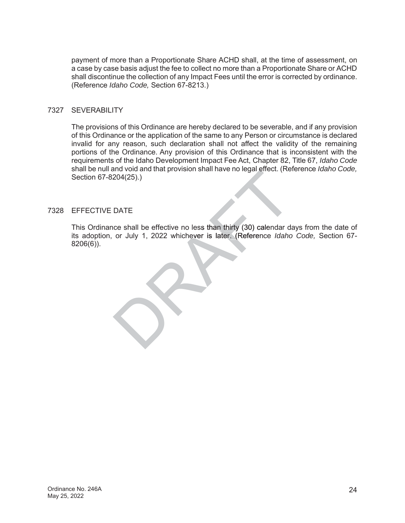payment of more than a Proportionate Share ACHD shall, at the time of assessment, on a case by case basis adjust the fee to collect no more than a Proportionate Share or ACHD shall discontinue the collection of any Impact Fees until the error is corrected by ordinance. (Reference *Idaho Code,* Section 67-8213.)

# 7327 SEVERABILITY

The provisions of this Ordinance are hereby declared to be severable, and if any provision of this Ordinance or the application of the same to any Person or circumstance is declared invalid for any reason, such declaration shall not affect the validity of the remaining portions of the Ordinance. Any provision of this Ordinance that is inconsistent with the requirements of the Idaho Development Impact Fee Act, Chapter 82, Title 67, *Idaho Code* shall be null and void and that provision shall have no legal effect. (Reference *Idaho Code,*  Section 67-8204(25).)

# 7328 EFFECTIVE DATE

This Ordinance shall be effective no less than thirty (30) calendar days from the date of its adoption, or July 1, 2022 whichever is later. (Reference Idaho Code, Section 67shall be null and void and that provision shall have no legal effect. (Ref<br>Section 67-8204(25).)<br>EFFECTIVE DATE<br>This Ordinance shall be effective no less than thirty (30) calendar da<br>its adoption, or July 1, 2022 whichever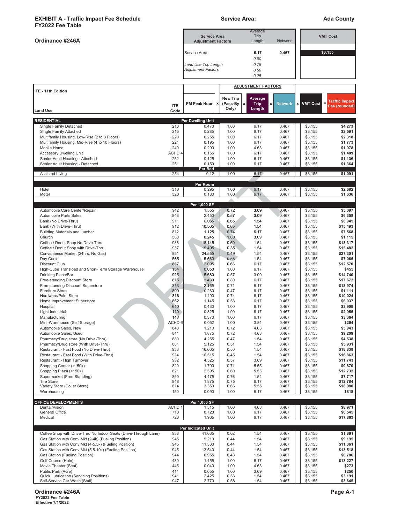#### **EXHIBIT A - Traffic Impact Fee Schedule Ada County Service Area:** Ada County **FY2022 Fee Table**

| <b>FYZUZZ Fee Table</b>                                                                                         |                          |                                                   |                               | Average                   |                       |                    |                       |  |
|-----------------------------------------------------------------------------------------------------------------|--------------------------|---------------------------------------------------|-------------------------------|---------------------------|-----------------------|--------------------|-----------------------|--|
|                                                                                                                 |                          | <b>Service Area</b>                               |                               | Trip                      |                       | <b>VMT Cost</b>    |                       |  |
| Ordinance #246A                                                                                                 |                          | <b>Adjustment Factors</b>                         |                               | Length                    | <b>Network</b>        |                    |                       |  |
|                                                                                                                 |                          | Service Area                                      |                               | 6.17                      | 0.467                 | \$3,155            |                       |  |
|                                                                                                                 |                          |                                                   |                               | 0.90                      |                       |                    |                       |  |
|                                                                                                                 |                          | Land Use Trip Length<br><b>Adjustment Factors</b> |                               | 0.75<br>0.50              |                       |                    |                       |  |
|                                                                                                                 |                          |                                                   |                               | 0.25                      |                       |                    |                       |  |
|                                                                                                                 |                          |                                                   |                               | <b>ADJUSTMENT FACTORS</b> |                       |                    |                       |  |
| ITE - 11th Edition                                                                                              |                          |                                                   |                               |                           |                       |                    |                       |  |
|                                                                                                                 |                          | <b>PM Peak Hour</b>                               | <b>New Trip</b><br>(Pass-By x | Average<br><b>Trip</b>    | x  <br><b>Network</b> | <b>X</b> VMT Cost  | <b>Traffic Impact</b> |  |
| <b>Land Use</b>                                                                                                 | <b>ITE</b><br>Code       |                                                   | Only)                         | Length                    |                       |                    | Fee (rounded)         |  |
|                                                                                                                 |                          |                                                   |                               |                           |                       |                    |                       |  |
| <b>RESIDENTIAL</b><br>Single Family Detached                                                                    | 210                      | Per Dwelling Unit<br>0.470                        | 1.00                          | 6.17                      | 0.467                 | \$3,155            | \$4,273               |  |
| Single Family Attached                                                                                          | 215                      | 0.285                                             | 1.00                          | 6.17                      | 0.467                 | \$3,155            | \$2,591               |  |
| Multifamily Housing, Low-Rise (2 to 3 Floors)                                                                   | 220                      | 0.255                                             | 1.00                          | 6.17                      | 0.467                 | \$3,155            | \$2,318               |  |
| Multifamily Housing, Mid-Rise (4 to 10 Floors)                                                                  | 221                      | 0.195                                             | 1.00                          | 6.17                      | 0.467                 | \$3,155            | \$1,773               |  |
| Mobile Home<br><b>Accessory Dwelling Unit</b>                                                                   | 240<br>ACHD <sub>4</sub> | 0.290<br>0.155                                    | 1.00<br>1.00                  | 4.63<br>6.17              | 0.467<br>0.467        | \$3,155<br>\$3,155 | \$1,978<br>\$1,409    |  |
| Senior Adult Housing - Attached                                                                                 | 252                      | 0.125                                             | 1.00                          | 6.17                      | 0.467                 | \$3,155            | \$1,136               |  |
| Senior Adult Housing - Detached                                                                                 | 251                      | 0.150                                             | 1.00                          | 6.17                      | 0.467                 | \$3,155            | \$1,364               |  |
| Assisted Living                                                                                                 | 254                      | Per Bed<br>0.12                                   | 1.00                          | 6.17                      | 0.467                 | \$3,155            | \$1,091               |  |
|                                                                                                                 |                          |                                                   |                               |                           |                       |                    |                       |  |
| Hotel                                                                                                           | 310                      | Per Room<br>0.295                                 | 1.00                          | 6.17                      | 0.467                 | \$3,155            | \$2,682               |  |
| Motel                                                                                                           | 320                      | 0.180                                             | 1.00(                         | 6.17                      | 0.467                 | \$3,155            | \$1,636               |  |
|                                                                                                                 |                          |                                                   |                               |                           |                       |                    |                       |  |
| Automobile Care Center/Repair                                                                                   | 942                      | Per 1,000 SF<br>1.555                             | 0.72                          | 3.09                      | 0.467                 | \$3,155            | \$5,097               |  |
| Automobile Parts Sales                                                                                          | 843                      | 2.450                                             | 0.57                          | 3.09                      | 0.467                 | \$3,155            | \$6,358               |  |
| Bank (No Drive-Thru)                                                                                            | 911                      | 6.065                                             | 0.65                          | 1.54                      | 0.467                 | \$3,155            | \$8,945               |  |
| Bank (With Drive-Thru)                                                                                          | 912                      | 10.505                                            | 0.65                          | 1.54                      | 0.467                 | \$3,155            | \$15,493              |  |
| <b>Building Materials and Lumber</b><br>Church                                                                  | 812<br>560               | 1.125<br>0.245                                    | 0.74<br>1.00                  | 6.17<br>3.09              | 0.467<br>0.467        | \$3,155<br>\$3,155 | \$7,568<br>\$1,115    |  |
| Coffee / Donut Shop No Drive-Thru                                                                               | 936                      | 16.145                                            | 0.50                          | 1.54                      | 0.467                 | \$3,155            | \$18,317              |  |
| Coffee / Donut Shop with Drive-Thru                                                                             | 937                      | 19.495                                            | 0.35                          | 1.54                      | 0.467                 | \$3,155            | \$15,482              |  |
| Convenience Market (24hrs, No Gas)                                                                              | 851                      | 24.555                                            | 0.49                          | 1.54                      | 0.467                 | \$3,155            | \$27,301              |  |
| Day Care                                                                                                        | 565                      | 5.560                                             | 0.56                          | 1.54                      | 0.467                 | \$3,155            | \$7,065               |  |
| <b>Discount Club</b><br>High-Cube Transload and Short-Term Storage Warehouse                                    | 857<br>154               | 2.095<br>0.050                                    | 0.66<br>1.00                  | 6.17<br>6.17              | 0.467<br>0.467        | \$3,155<br>\$3,155 | \$12,570<br>\$455     |  |
| Drinking Place/Bar                                                                                              | 925                      | 5.680                                             | 0.57                          | 3.09                      | 0.467                 | \$3,155            | \$14,740              |  |
| Free-standing Discount Store                                                                                    | 815                      | 2.430                                             | 0.80                          | 6.17                      | 0.467                 | \$3,155            | \$17,672              |  |
| Free-standing Discount Superstore                                                                               | 813                      | 2.165                                             | 0.71                          | 6.17                      | 0.467                 | \$3,155            | \$13,974              |  |
| <b>Furniture Store</b><br>Hardware/Paint Store                                                                  | 890<br>816               | 0.260<br>1.490                                    | 0.47<br>0.74                  | 6.17<br>6.17              | 0.467<br>0.467        | \$3,155<br>\$3,155 | \$1,111<br>\$10,024   |  |
| Home Improvement Superstore                                                                                     | 862                      | 1.145                                             | 0.58                          | 6.17                      | 0.467                 | \$3,155            | \$6,037               |  |
| Hospital                                                                                                        | 610                      | 0.430                                             | 1.00                          | 6.17                      | 0.467                 | \$3,155            | \$3,909               |  |
| Light Industrial                                                                                                | 110                      | 0.325                                             | 1.00                          | 6.17                      | 0.467                 | \$3,155            | \$2,955               |  |
| Manufacturing                                                                                                   | 140                      | 0.370                                             | 1.00                          | 6.17                      | 0.467                 | \$3,155            | \$3,364               |  |
| Mini-Warehouse (Self Storage)<br>Automobile Sales, New                                                          | ACHD 6<br>840            | 0.052<br>1.210                                    | 1.00<br>0.72                  | 3.84<br>4.63              | 0.467<br>0.467        | \$3,155<br>\$3,155 | \$294<br>\$5,943      |  |
| Automobile Sales, Used                                                                                          | 841                      | 1.875                                             | 0.72                          | 4.63                      | 0.467                 | \$3,155            | \$9,209               |  |
| Pharmacy/Drug store (No Drive-Thru)                                                                             | 880                      | 4.255                                             | 0.47                          | 1.54                      | 0.467                 | \$3,155            | \$4,538               |  |
| Pharmacy/Drug store (With Drive-Thru)                                                                           | 881                      | 5.125                                             | 0.51                          | 1.54                      | 0.467                 | \$3,155            | \$5,931               |  |
| Restaurant - Fast Food (No Drive-Thru)<br>Restaurant - Fast Food (With Drive-Thru)                              | 933<br>934               | 16.605<br>16.515                                  | 0.50<br>0.45                  | 1.54<br>1.54              | 0.467<br>0.467        | \$3,155<br>\$3,155 | \$18,838<br>\$16,863  |  |
| Restaurant - High Turnover                                                                                      | 932                      | 4.525                                             | 0.57                          | 3.09                      | 0.467                 | \$3,155            | \$11,743              |  |
| Shopping Center (>150k)                                                                                         | 820                      | 1.700                                             | 0.71                          | 5.55                      | 0.467                 | \$3,155            | \$9,870               |  |
| Shopping Plaza (<150k)                                                                                          | 821                      | 2.595                                             | 0.60                          | 5.55                      | 0.467                 | \$3,155            | \$12,732              |  |
| Supermarket (Free Standing)<br><b>Tire Store</b>                                                                | 850<br>848               | 4.475<br>1.875                                    | 0.76<br>0.75                  | 1.54<br>6.17              | 0.467<br>0.467        | \$3,155<br>\$3,155 | \$7,717<br>\$12,784   |  |
| Variety Store (Dollar Store)                                                                                    | 814                      | 3.350                                             | 0.66                          | 5.55                      | 0.467                 | \$3,155            | \$18,080              |  |
| Warehousing                                                                                                     | 150                      | 0.090                                             | 1.00                          | 6.17                      | 0.467                 | \$3,155            | \$818                 |  |
| <b>OFFICE DEVELOPMENTS</b>                                                                                      |                          | Per 1,000 SF                                      |                               |                           |                       |                    |                       |  |
| Dental/Vision                                                                                                   | ACHD <sub>1</sub>        | 1.315                                             | 1.00                          | 4.63                      | 0.467                 | \$3,155            | \$8,971               |  |
| General Office                                                                                                  | 710                      | 0.720                                             | 1.00                          | 6.17                      | 0.467                 | \$3,155            | \$6,545               |  |
| Medical                                                                                                         | 720                      | 1.965                                             | 1.00                          | 6.17                      | 0.467                 | \$3,155            | \$17,863              |  |
|                                                                                                                 |                          | Per Indicated Unit                                |                               |                           |                       |                    |                       |  |
| Coffee Shop with Drive-Thru No Indoor Seats (Drive-Through Lane)                                                | 938                      | 41.665                                            | 0.02                          | 1.54                      | 0.467                 | \$3,155            | \$1,891               |  |
| Gas Station with Conv Mkt (2-4k) (Fueling Position)                                                             | 945                      | 9.210                                             | 0.44                          | 1.54                      | 0.467                 | \$3,155            | \$9,195               |  |
| Gas Station with Conv Mkt (4-5.5k) (Fueling Position)<br>Gas Station with Conv Mkt (5.5-10k) (Fueling Position) | 945<br>945               | 11.380<br>13.540                                  | 0.44<br>0.44                  | 1.54                      | 0.467<br>0.467        | \$3,155<br>\$3,155 | \$11,361<br>\$13,518  |  |
| Gas Station (Fueling Position)                                                                                  | 944                      | 6.955                                             | 0.43                          | 1.54<br>1.54              | 0.467                 | \$3,155            | \$6,786               |  |
| Golf Course (Hole)                                                                                              | 430                      | 1.455                                             | 1.00                          | 6.17                      | 0.467                 | \$3,155            | \$13,227              |  |
| Movie Theater (Seat)                                                                                            | 445                      | 0.040                                             | 1.00                          | 4.63                      | 0.467                 | \$3,155            | \$273                 |  |
| Public Park (Acre)                                                                                              | 411                      | 0.055                                             | 1.00                          | 3.09                      | 0.467                 | \$3,155            | \$250                 |  |
| Quick Lubrication (Servicing Positions)<br>Self-Service Car Wash (Stall)                                        | 941<br>947               | 2.425<br>2.770                                    | 0.58<br>0.58                  | 1.54<br>1.54              | 0.467<br>0.467        | \$3,155<br>\$3,155 | \$3,191<br>\$3,645    |  |

**Ordinance #246A Page A-1 FY2022 Fee Table**

**Example 12**<br>**Effective 7/1/2022**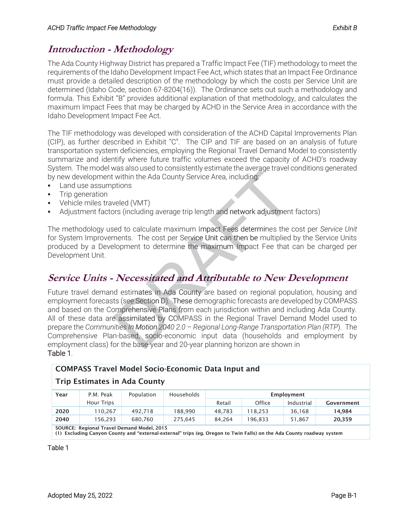# **Introduction - Methodology**

The Ada County Highway District has prepared a Traffic Impact Fee (TIF) methodology to meet the requirements of the Idaho Development Impact Fee Act, which states that an Impact Fee Ordinance must provide a detailed description of the methodology by which the costs per Service Unit are determined (Idaho Code, section 67-8204(16)). The Ordinance sets out such a methodology and formula. This Exhibit "B" provides additional explanation of that methodology, and calculates the maximum Impact Fees that may be charged by ACHD in the Service Area in accordance with the Idaho Development Impact Fee Act.

The TIF methodology was developed with consideration of the ACHD Capital Improvements Plan (CIP), as further described in Exhibit "C". The CIP and TIF are based on an analysis of future transportation system deficiencies, employing the Regional Travel Demand Model to consistently summarize and identify where future traffic volumes exceed the capacity of ACHD's roadway System. The model was also used to consistently estimate the average travel conditions generated by new development within the Ada County Service Area, including:

- Land use assumptions
- Trip generation
- Vehicle miles traveled (VMT)
- Adjustment factors (including average trip length and network adjustment factors)

The methodology used to calculate maximum Impact Fees determines the cost per Service Unit for System Improvements. The cost per Service Unit can then be multiplied by the Service Units produced by a Development to determine the maximum Impact Fee that can be charged per Development Unit.

# **Service Units - Necessitated and Attributable to New Development**

Future travel demand estimates in Ada County are based on regional population, housing and employment forecasts (see Section D). These demographic forecasts are developed by COMPASS and based on the Comprehensive Plans from each jurisdiction within and including Ada County. All of these data are assimilated by COMPASS in the Regional Travel Demand Model used to prepare the Communities In Motion 2040 2.0 - Regional Long-Range Transportation Plan (RTP). The Comprehensive Plan-based, socio-economic input data (households and employment by employment class) for the base-year and 20-year planning horizon are shown in Table 1. was also used to consistently estimate the average travel c<br>
within the Ada County Service Area, including:<br>
ptions<br>
weled (VMT)<br>
ors (including average trip length and network adjustment<br>
sed to calculate maximum Impact F

# COMPASS Travel Model Socio-Economic Data Input and

# Trip Estimates in Ada County

| Year                                       | P.M. Peak  | Population | Households | Employment |         |            |            |  |  |  |  |
|--------------------------------------------|------------|------------|------------|------------|---------|------------|------------|--|--|--|--|
|                                            | Hour Trips |            |            | Retail     | Office  | Industrial | Government |  |  |  |  |
| 2020                                       | 110.267    | 492.718    | 188.990    | 48.783     | 18.253  | 36.168     | 14.984     |  |  |  |  |
| 2040                                       | 156.293    | 680.760    | 275.645    | 84.264     | 196.833 | 51.867     | 20,359     |  |  |  |  |
| COURCE: Begional Travel Demand Model, 2015 |            |            |            |            |         |            |            |  |  |  |  |

SOURCE: Regional Travel Demand Model, 2015 (1) Excluding Canyon County and "external-external" trips (eg. Oregon to Twin Falls) on the Ada County roadway system

Table 1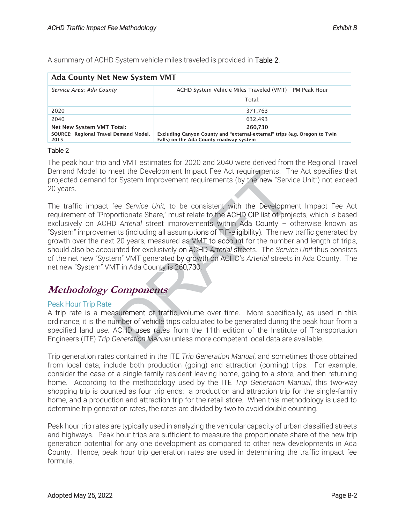A summary of ACHD System vehicle miles traveled is provided in Table 2.

| <b>Ada County Net New System VMT</b>                                                                                                                                   |                                                         |  |  |  |  |  |
|------------------------------------------------------------------------------------------------------------------------------------------------------------------------|---------------------------------------------------------|--|--|--|--|--|
| Service Area: Ada County                                                                                                                                               | ACHD System Vehicle Miles Traveled (VMT) - PM Peak Hour |  |  |  |  |  |
|                                                                                                                                                                        | Total:                                                  |  |  |  |  |  |
| 2020                                                                                                                                                                   | 371,763                                                 |  |  |  |  |  |
| 2040                                                                                                                                                                   | 632.493                                                 |  |  |  |  |  |
| Net New System VMT Total:                                                                                                                                              | 260,730                                                 |  |  |  |  |  |
| SOURCE: Regional Travel Demand Model,<br>Excluding Canyon County and "external-external" trips (e.g. Oregon to Twin<br>Falls) on the Ada County roadway system<br>2015 |                                                         |  |  |  |  |  |

#### Table 2

The peak hour trip and VMT estimates for 2020 and 2040 were derived from the Regional Travel Demand Model to meet the Development Impact Fee Act requirements. The Act specifies that projected demand for System Improvement requirements (by the new "Service Unit") not exceed 20 years.

The traffic impact fee Service Unit, to be consistent with the Development Impact Fee Act requirement of "Proportionate Share," must relate to the ACHD CIP list of projects, which is based exclusively on ACHD Arterial street improvements within Ada County - otherwise known as "System" improvements (including all assumptions of TIF-eligibility). The new traffic generated by growth over the next 20 years, measured as VMT to account for the number and length of trips, should also be accounted for exclusively on ACHD Arterial streets. The Service Unit thus consists of the net new "System" VMT generated by growth on ACHD's Arterial streets in Ada County. The net new "System" VMT in Ada County is 260,730. neet the Development Impact Fee Act requirements. The System Improvement requirements (by the new "Service Service Unit, to be consistent with the Development from the Service Unit, to be consistent with the Development De

# **Methodology Components ponents**

# Peak Hour Trip Rate

A trip rate is a measurement of traffic volume over time. More specifically, as used in this ordinance, it is the number of vehicle trips calculated to be generated during the peak hour from a specified land use. ACHD uses rates from the 11th edition of the Institute of Transportation Engineers (ITE) *Trip Generation Manual* unless more competent local data are available.

Trip generation rates contained in the ITE Trip Generation Manual, and sometimes those obtained from local data; include both production (going) and attraction (coming) trips. For example, consider the case of a single-family resident leaving home, going to a store, and then returning home. According to the methodology used by the ITE Trip Generation Manual, this two-way shopping trip is counted as four trip ends: a production and attraction trip for the single-family home, and a production and attraction trip for the retail store. When this methodology is used to determine trip generation rates, the rates are divided by two to avoid double counting.

Peak hour trip rates are typically used in analyzing the vehicular capacity of urban classified streets and highways. Peak hour trips are sufficient to measure the proportionate share of the new trip generation potential for any one development as compared to other new developments in Ada County. Hence, peak hour trip generation rates are used in determining the traffic impact fee formula.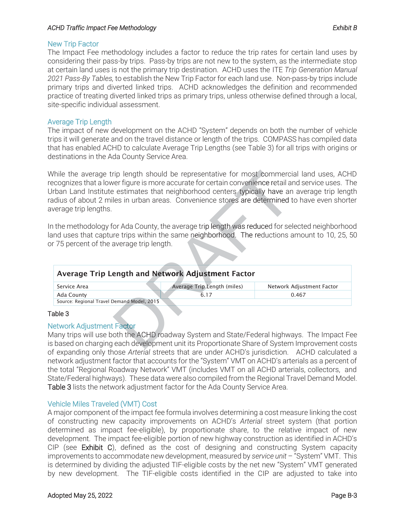## ACHD Traffic Impact Fee Methodology *Exhibit B*

## New Trip Factor

The Impact Fee methodology includes a factor to reduce the trip rates for certain land uses by considering their pass-by trips. Pass-by trips are not new to the system, as the intermediate stop at certain land uses is not the primary trip destination. ACHD uses the ITE Trip Generation Manual 2021 Pass-By Tables, to establish the New Trip Factor for each land use. Non-pass-by trips include primary trips and diverted linked trips. ACHD acknowledges the definition and recommended practice of treating diverted linked trips as primary trips, unless otherwise defined through a local, site-specific individual assessment.

# Average Trip Length

The impact of new development on the ACHD "System" depends on both the number of vehicle trips it will generate and on the travel distance or length of the trips. COMPASS has compiled data that has enabled ACHD to calculate Average Trip Lengths (see Table 3) for all trips with origins or destinations in the Ada County Service Area.

While the average trip length should be representative for most commercial land uses, ACHD recognizes that a lower figure is more accurate for certain convenience retail and service uses. The Urban Land Institute estimates that neighborhood centers typically have an average trip length radius of about 2 miles in urban areas. Convenience stores are determined to have even shorter average trip lengths. rip length should be representative for most commerciver figure is more accurate for certain convenience retail and<br>
e estimates that neighborhood centers typically have an<br>
les in urban areas. Convenience stores are deter

In the methodology for Ada County, the average trip length was reduced for selected neighborhood land uses that capture trips within the same neighborhood. The reductions amount to 10, 25, 50 or 75 percent of the average trip length.

| n the methodology for Ada County, the average trip length was reduced for selected neighborhoc<br>and uses that capture trips within the same neighborhood. The reductions amount to 10, 25, 5<br>or 75 percent of the average trip length. |                             |                           |
|---------------------------------------------------------------------------------------------------------------------------------------------------------------------------------------------------------------------------------------------|-----------------------------|---------------------------|
| <b>Average Trip Length and Network Adjustment Factor</b><br>Service Area                                                                                                                                                                    | Average Trip Length (miles) | Network Adjustment Factor |
| Ada County                                                                                                                                                                                                                                  | 6.17                        | 0.467                     |
| Source: Regional Travel Demand Model, 2015                                                                                                                                                                                                  |                             |                           |
| able 3<br>Vetwork Adjustment Factor<br>Many trips will use both the ACHD roadway System and State/Federal highways. The Impact Fe<br>s based on charging each development unit its Proportionate Share of System Improvement cos            |                             |                           |

# Table 3

# Network Adjustment Factor

Many trips will use both the ACHD roadway System and State/Federal highways. The Impact Fee is based on charging each development unit its Proportionate Share of System Improvement costs of expanding only those Arterial streets that are under ACHD's jurisdiction. ACHD calculated a network adjustment factor that accounts for the "System" VMT on ACHD's arterials as a percent of the total "Regional Roadway Network" VMT (includes VMT on all ACHD arterials, collectors, and State/Federal highways). These data were also compiled from the Regional Travel Demand Model. Table 3 lists the network adjustment factor for the Ada County Service Area. Demand Model, 2015<br>
Let Factor<br>
Continue ACHD road<br>
Let be ACHD road<br>
Let be ACHD road t**or**<br>he ACHD ro

# Vehicle Miles Traveled (VMT) Cost

A major component of the impact fee formula involves determining a cost measure linking the cost of constructing new capacity improvements on ACHD's Arterial street system (that portion determined as impact fee-eligible), by proportionate share, to the relative impact of new development. The impact fee-eligible portion of new highway construction as identified in ACHD's  $CIP$  (see **Exhibit C**), defined as the cost of designing and constructing System capacity improvements to accommodate new development, measured by service unit - "System" VMT. This is determined by dividing the adjusted TIF-eligible costs by the net new "System" VMT generated by new development. The TIF-eligible costs identified in the CIP are adjusted to take into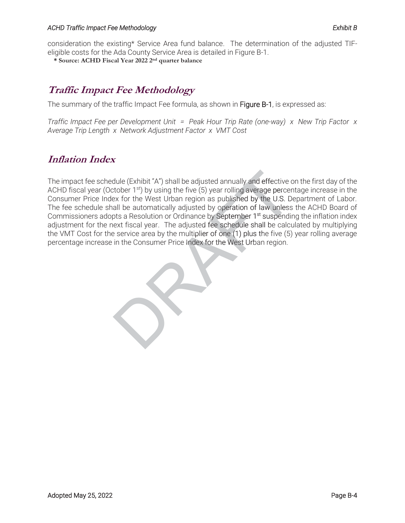#### ACHD Traffic Impact Fee Methodology *Exhibit B*

consideration the existing\* Service Area fund balance. The determination of the adjusted TIFeligible costs for the Ada County Service Area is detailed in Figure B-1.

**\* Source: ACHD Fiscal Year 2022 2nd quarter balance** 

# **Traffic Impact Fee Methodology**

The summary of the traffic Impact Fee formula, as shown in Figure B-1, is expressed as:

*Traffic Impact Fee per Development Unit = Peak Hour Trip Rate (one-way) x New Trip Factor x* Average Trip Length x Network Adjustment Factor x VMT Cost

# **Inflation Index**

The impact fee schedule (Exhibit "A") shall be adjusted annually and effective on the first day of the ACHD fiscal year (October  $1<sup>st</sup>$ ) by using the five (5) year rolling average percentage increase in the Consumer Price Index for the West Urban region as published by the U.S. Department of Labor. The fee schedule shall be automatically adjusted by operation of law unless the ACHD Board of Commissioners adopts a Resolution or Ordinance by September 1<sup>st</sup> suspending the inflation index adjustment for the next fiscal year. The adjusted fee schedule shall be calculated by multiplying the VMT Cost for the service area by the multiplier of one (1) plus the five (5) year rolling average The impact fee schedule (Exhibit "A") shall be adjusted annually and effective ACHD fiscal year (October 1<sup>st</sup>) by using the five (5) year rolling average percer<br>Consumer Price Index for the West Urban region as published percentage increase in the Consumer Price Index for the West Urban region.